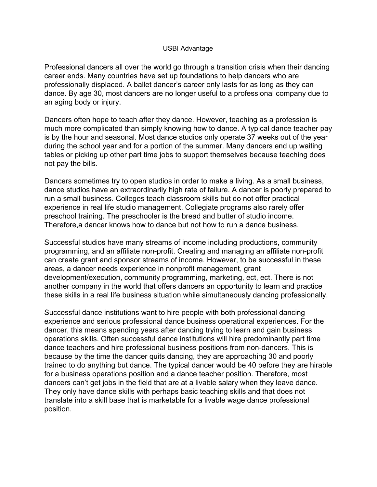## USBI Advantage

Professional dancers all over the world go through a transition crisis when their dancing career ends. Many countries have set up foundations to help dancers who are professionally displaced. A ballet dancer's career only lasts for as long as they can dance. By age 30, most dancers are no longer useful to a professional company due to an aging body or injury.

Dancers often hope to teach after they dance. However, teaching as a profession is much more complicated than simply knowing how to dance. A typical dance teacher pay is by the hour and seasonal. Most dance studios only operate 37 weeks out of the year during the school year and for a portion of the summer. Many dancers end up waiting tables or picking up other part time jobs to support themselves because teaching does not pay the bills.

Dancers sometimes try to open studios in order to make a living. As a small business, dance studios have an extraordinarily high rate of failure. A dancer is poorly prepared to run a small business. Colleges teach classroom skills but do not offer practical experience in real life studio management. Collegiate programs also rarely offer preschool training. The preschooler is the bread and butter of studio income. Therefore,a dancer knows how to dance but not how to run a dance business.

Successful studios have many streams of income including productions, community programming, and an affiliate non-profit. Creating and managing an affiliate non-profit can create grant and sponsor streams of income. However, to be successful in these areas, a dancer needs experience in nonprofit management, grant development/execution, community programming, marketing, ect, ect. There is not another company in the world that offers dancers an opportunity to learn and practice these skills in a real life business situation while simultaneously dancing professionally.

Successful dance institutions want to hire people with both professional dancing experience and serious professional dance business operational experiences. For the dancer, this means spending years after dancing trying to learn and gain business operations skills. Often successful dance institutions will hire predominantly part time dance teachers and hire professional business positions from non-dancers. This is because by the time the dancer quits dancing, they are approaching 30 and poorly trained to do anything but dance. The typical dancer would be 40 before they are hirable for a business operations position and a dance teacher position. Therefore, most dancers can't get jobs in the field that are at a livable salary when they leave dance. They only have dance skills with perhaps basic teaching skills and that does not translate into a skill base that is marketable for a livable wage dance professional position.